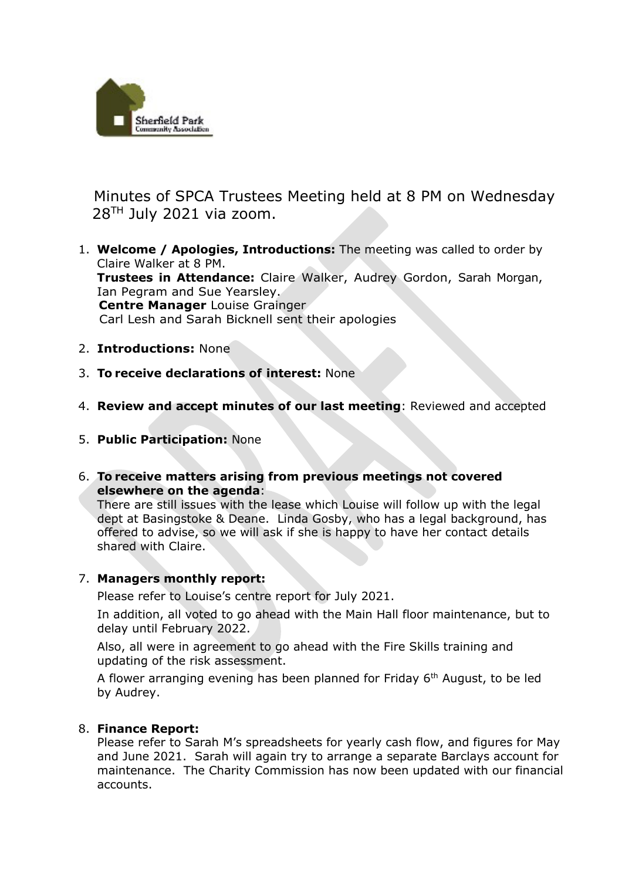

Minutes of SPCA Trustees Meeting held at 8 PM on Wednesday  $28<sup>TH</sup>$  July 2021 via zoom.

- 1. **Welcome / Apologies, Introductions:** The meeting was called to order by Claire Walker at 8 PM. **Trustees in Attendance:** Claire Walker, Audrey Gordon, Sarah Morgan, Ian Pegram and Sue Yearsley. **Centre Manager** Louise Grainger Carl Lesh and Sarah Bicknell sent their apologies
- 2. **Introductions:** None
- 3. **To receive declarations of interest:** None
- 4. **Review and accept minutes of our last meeting**: Reviewed and accepted
- 5. **Public Participation:** None
- 6. **To receive matters arising from previous meetings not covered elsewhere on the agenda**:

There are still issues with the lease which Louise will follow up with the legal dept at Basingstoke & Deane. Linda Gosby, who has a legal background, has offered to advise, so we will ask if she is happy to have her contact details shared with Claire.

## 7. **Managers monthly report:**

Please refer to Louise's centre report for July 2021.

In addition, all voted to go ahead with the Main Hall floor maintenance, but to delay until February 2022.

Also, all were in agreement to go ahead with the Fire Skills training and updating of the risk assessment.

A flower arranging evening has been planned for Friday  $6<sup>th</sup>$  August, to be led by Audrey.

## 8. **Finance Report:**

Please refer to Sarah M's spreadsheets for yearly cash flow, and figures for May and June 2021. Sarah will again try to arrange a separate Barclays account for maintenance. The Charity Commission has now been updated with our financial accounts.